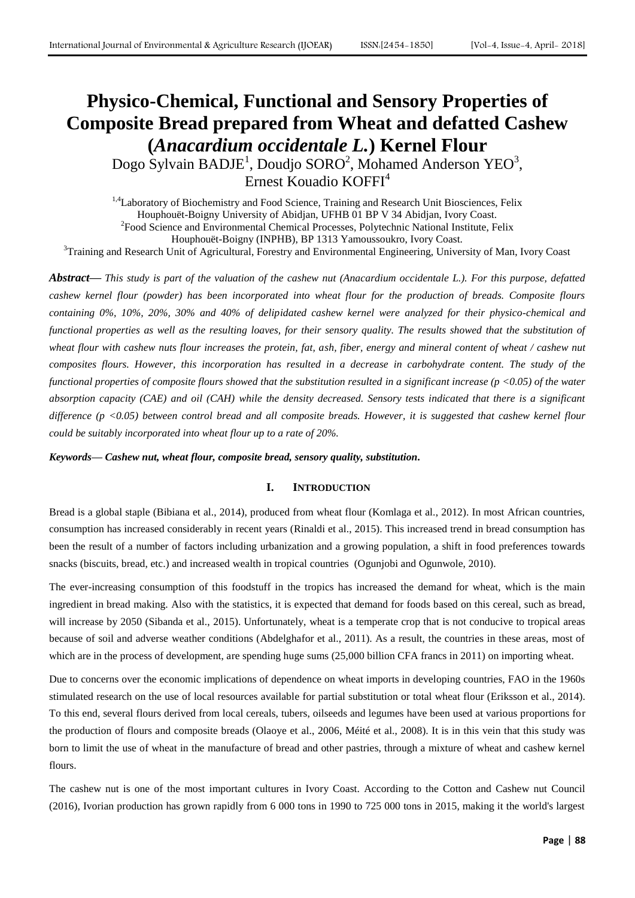# **Physico-Chemical, Functional and Sensory Properties of Composite Bread prepared from Wheat and defatted Cashew (***Anacardium occidentale L.***) Kernel Flour**

Dogo Sylvain BADJE<sup>1</sup>, Doudjo SORO<sup>2</sup>, Mohamed Anderson YEO<sup>3</sup>, Ernest Kouadio KOFFI<sup>4</sup>

<sup>1,4</sup>Laboratory of Biochemistry and Food Science, Training and Research Unit Biosciences, Felix Houphouët-Boigny University of Abidjan, UFHB 01 BP V 34 Abidjan, Ivory Coast. <sup>2</sup> Food Science and Environmental Chemical Processes, Polytechnic National Institute, Felix Houphouët-Boigny (INPHB), BP 1313 Yamoussoukro, Ivory Coast. <sup>3</sup>Training and Research Unit of Agricultural, Forestry and Environmental Engineering, University of Man, Ivory Coast

*Abstract***—** *This study is part of the valuation of the cashew nut (Anacardium occidentale L.). For this purpose, defatted cashew kernel flour (powder) has been incorporated into wheat flour for the production of breads. Composite flours containing 0%, 10%, 20%, 30% and 40% of delipidated cashew kernel were analyzed for their physico-chemical and functional properties as well as the resulting loaves, for their sensory quality. The results showed that the substitution of wheat flour with cashew nuts flour increases the protein, fat, ash, fiber, energy and mineral content of wheat / cashew nut composites flours. However, this incorporation has resulted in a decrease in carbohydrate content. The study of the functional properties of composite flours showed that the substitution resulted in a significant increase (p <0.05) of the water absorption capacity (CAE) and oil (CAH) while the density decreased. Sensory tests indicated that there is a significant difference (p <0.05) between control bread and all composite breads. However, it is suggested that cashew kernel flour could be suitably incorporated into wheat flour up to a rate of 20%.*

*Keywords***—** *Cashew nut, wheat flour, composite bread, sensory quality, substitution.*

## **I. INTRODUCTION**

Bread is a global staple (Bibiana et al., 2014), produced from wheat flour (Komlaga et al., 2012). In most African countries, consumption has increased considerably in recent years (Rinaldi et al., 2015). This increased trend in bread consumption has been the result of a number of factors including urbanization and a growing population, a shift in food preferences towards snacks (biscuits, bread, etc.) and increased wealth in tropical countries (Ogunjobi and Ogunwole, 2010).

The ever-increasing consumption of this foodstuff in the tropics has increased the demand for wheat, which is the main ingredient in bread making. Also with the statistics, it is expected that demand for foods based on this cereal, such as bread, will increase by 2050 (Sibanda et al., 2015). Unfortunately, wheat is a temperate crop that is not conducive to tropical areas because of soil and adverse weather conditions (Abdelghafor et al., 2011). As a result, the countries in these areas, most of which are in the process of development, are spending huge sums  $(25,000)$  billion CFA francs in 2011) on importing wheat.

Due to concerns over the economic implications of dependence on wheat imports in developing countries, FAO in the 1960s stimulated research on the use of local resources available for partial substitution or total wheat flour (Eriksson et al., 2014). To this end, several flours derived from local cereals, tubers, oilseeds and legumes have been used at various proportions for the production of flours and composite breads (Olaoye et al., 2006, Méité et al., 2008). It is in this vein that this study was born to limit the use of wheat in the manufacture of bread and other pastries, through a mixture of wheat and cashew kernel flours

The cashew nut is one of the most important cultures in Ivory Coast. According to the Cotton and Cashew nut Council (2016), Ivorian production has grown rapidly from 6 000 tons in 1990 to 725 000 tons in 2015, making it the world's largest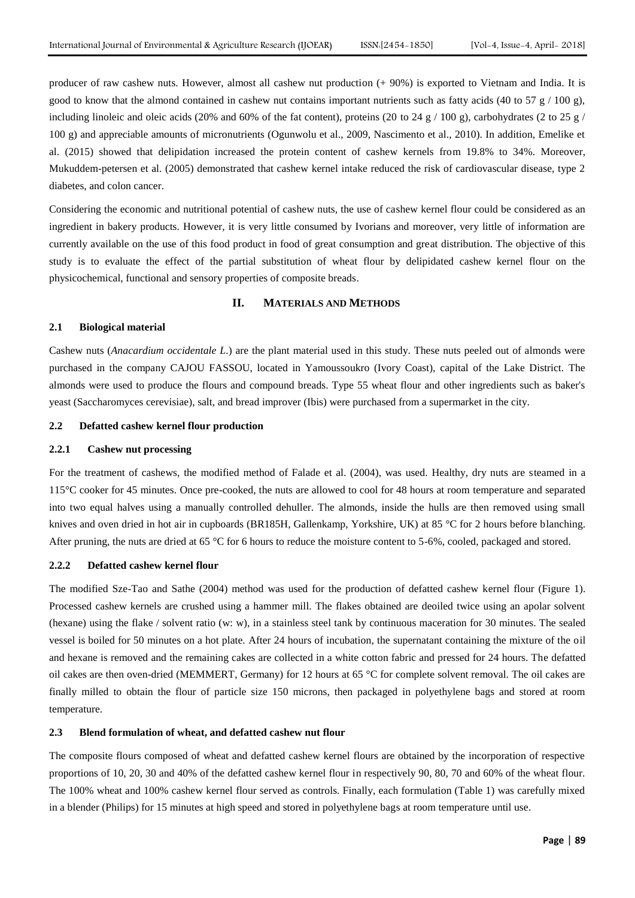producer of raw cashew nuts. However, almost all cashew nut production (+ 90%) is exported to Vietnam and India. It is good to know that the almond contained in cashew nut contains important nutrients such as fatty acids (40 to 57  $g/100 g$ ), including linoleic and oleic acids (20% and 60% of the fat content), proteins (20 to 24 g / 100 g), carbohydrates (2 to 25 g / 100 g) and appreciable amounts of micronutrients (Ogunwolu et al., 2009, Nascimento et al., 2010). In addition, Emelike et al. (2015) showed that delipidation increased the protein content of cashew kernels from 19.8% to 34%. Moreover, Mukuddem-petersen et al. (2005) demonstrated that cashew kernel intake reduced the risk of cardiovascular disease, type 2 diabetes, and colon cancer.

Considering the economic and nutritional potential of cashew nuts, the use of cashew kernel flour could be considered as an ingredient in bakery products. However, it is very little consumed by Ivorians and moreover, very little of information are currently available on the use of this food product in food of great consumption and great distribution. The objective of this study is to evaluate the effect of the partial substitution of wheat flour by delipidated cashew kernel flour on the physicochemical, functional and sensory properties of composite breads.

#### **II. MATERIALS AND METHODS**

# **2.1 Biological material**

Cashew nuts (*Anacardium occidentale L*.) are the plant material used in this study. These nuts peeled out of almonds were purchased in the company CAJOU FASSOU, located in Yamoussoukro (Ivory Coast), capital of the Lake District. The almonds were used to produce the flours and compound breads. Type 55 wheat flour and other ingredients such as baker's yeast (Saccharomyces cerevisiae), salt, and bread improver (Ibis) were purchased from a supermarket in the city.

#### **2.2 Defatted cashew kernel flour production**

# **2.2.1 Cashew nut processing**

For the treatment of cashews, the modified method of Falade et al. (2004), was used. Healthy, dry nuts are steamed in a 115°C cooker for 45 minutes. Once pre-cooked, the nuts are allowed to cool for 48 hours at room temperature and separated into two equal halves using a manually controlled dehuller. The almonds, inside the hulls are then removed using small knives and oven dried in hot air in cupboards (BR185H, Gallenkamp, Yorkshire, UK) at 85 °C for 2 hours before blanching. After pruning, the nuts are dried at 65 °C for 6 hours to reduce the moisture content to 5-6%, cooled, packaged and stored.

## **2.2.2 Defatted cashew kernel flour**

The modified Sze-Tao and Sathe (2004) method was used for the production of defatted cashew kernel flour (Figure 1). Processed cashew kernels are crushed using a hammer mill. The flakes obtained are deoiled twice using an apolar solvent (hexane) using the flake / solvent ratio (w: w), in a stainless steel tank by continuous maceration for 30 minutes. The sealed vessel is boiled for 50 minutes on a hot plate. After 24 hours of incubation, the supernatant containing the mixture of the oil and hexane is removed and the remaining cakes are collected in a white cotton fabric and pressed for 24 hours. The defatted oil cakes are then oven-dried (MEMMERT, Germany) for 12 hours at 65 °C for complete solvent removal. The oil cakes are finally milled to obtain the flour of particle size 150 microns, then packaged in polyethylene bags and stored at room temperature.

#### **2.3 Blend formulation of wheat, and defatted cashew nut flour**

The composite flours composed of wheat and defatted cashew kernel flours are obtained by the incorporation of respective proportions of 10, 20, 30 and 40% of the defatted cashew kernel flour in respectively 90, 80, 70 and 60% of the wheat flour. The 100% wheat and 100% cashew kernel flour served as controls. Finally, each formulation (Table 1) was carefully mixed in a blender (Philips) for 15 minutes at high speed and stored in polyethylene bags at room temperature until use.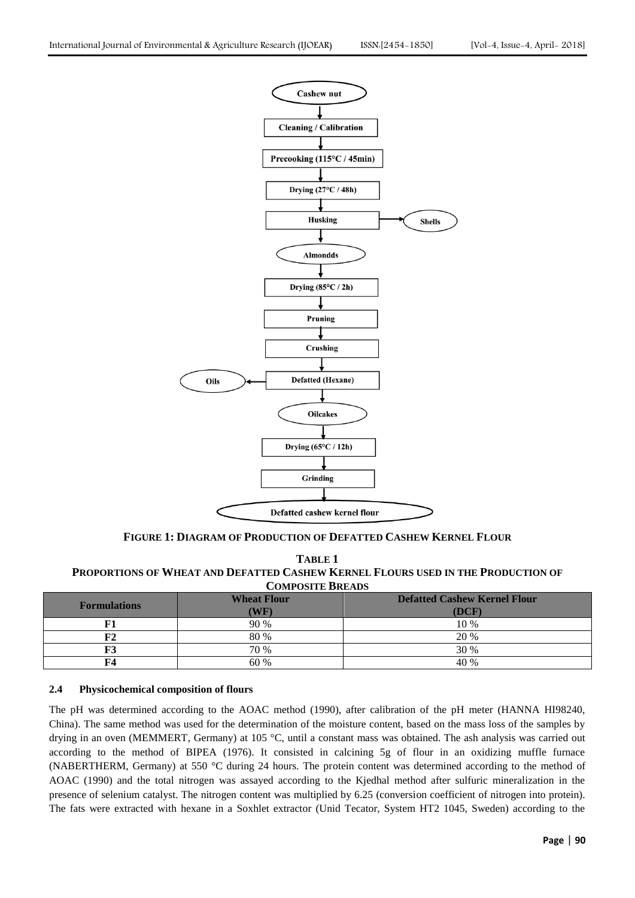

**FIGURE 1: DIAGRAM OF PRODUCTION OF DEFATTED CASHEW KERNEL FLOUR**

**TABLE 1 PROPORTIONS OF WHEAT AND DEFATTED CASHEW KERNEL FLOURS USED IN THE PRODUCTION OF COMPOSITE BREADS**

| <b>Formulations</b> | <b>Wheat Flour</b><br>$(\mathbf{WF})$ | <b>Defatted Cashew Kernel Flour</b><br>(DCF) |
|---------------------|---------------------------------------|----------------------------------------------|
| F1                  | 90 %                                  | 10 %                                         |
| ${\bf F2}$          | 80 %                                  | 20 %                                         |
| F3                  | 70 %                                  | 30 %                                         |
| F4                  | 60 %                                  | 40 %                                         |

# **2.4 Physicochemical composition of flours**

The pH was determined according to the AOAC method (1990), after calibration of the pH meter (HANNA HI98240, China). The same method was used for the determination of the moisture content, based on the mass loss of the samples by drying in an oven (MEMMERT, Germany) at 105 °C, until a constant mass was obtained. The ash analysis was carried out according to the method of BIPEA (1976). It consisted in calcining 5g of flour in an oxidizing muffle furnace (NABERTHERM, Germany) at 550 °C during 24 hours. The protein content was determined according to the method of AOAC (1990) and the total nitrogen was assayed according to the Kjedhal method after sulfuric mineralization in the presence of selenium catalyst. The nitrogen content was multiplied by 6.25 (conversion coefficient of nitrogen into protein). The fats were extracted with hexane in a Soxhlet extractor (Unid Tecator, System HT2 1045, Sweden) according to the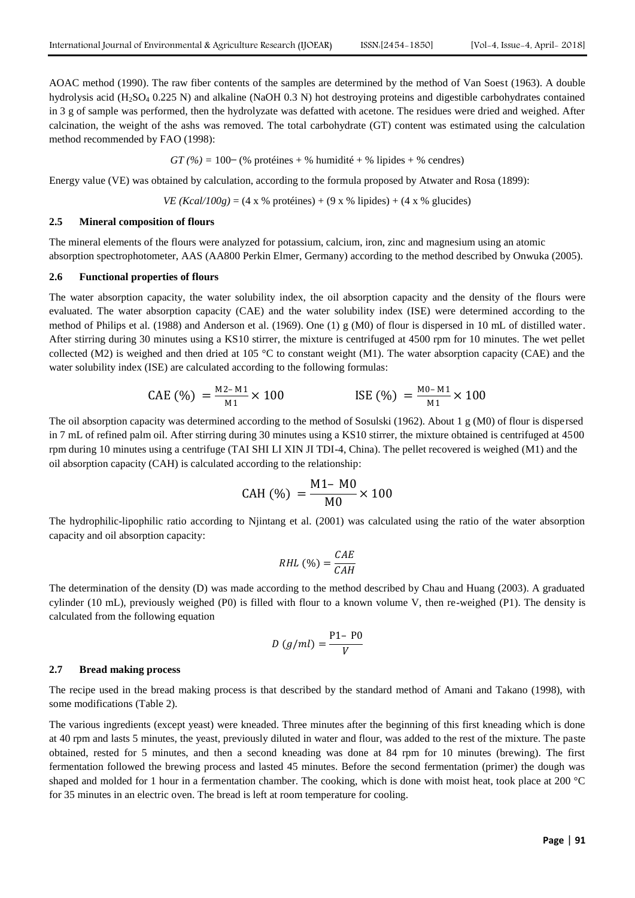AOAC method (1990). The raw fiber contents of the samples are determined by the method of Van Soest (1963). A double hydrolysis acid (H<sub>2</sub>SO<sub>4</sub> 0.225 N) and alkaline (NaOH 0.3 N) hot destroying proteins and digestible carbohydrates contained in 3 g of sample was performed, then the hydrolyzate was defatted with acetone. The residues were dried and weighed. After calcination, the weight of the ashs was removed. The total carbohydrate (GT) content was estimated using the calculation method recommended by FAO (1998):

$$
GT(%) = 100-(% proteins + %humidité + %lipides + %cendres)
$$

Energy value (VE) was obtained by calculation, according to the formula proposed by Atwater and Rosa (1899):

*VE (Kcal/100g)* = (4 x % protéines) + (9 x % lipides) + (4 x % glucides)

#### **2.5 Mineral composition of flours**

The mineral elements of the flours were analyzed for potassium, calcium, iron, zinc and magnesium using an atomic absorption spectrophotometer, AAS (AA800 Perkin Elmer, Germany) according to the method described by Onwuka (2005).

#### **2.6 Functional properties of flours**

The water absorption capacity, the water solubility index, the oil absorption capacity and the density of the flours were evaluated. The water absorption capacity (CAE) and the water solubility index (ISE) were determined according to the method of Philips et al. (1988) and Anderson et al. (1969). One (1) g (M0) of flour is dispersed in 10 mL of distilled water. After stirring during 30 minutes using a KS10 stirrer, the mixture is centrifuged at 4500 rpm for 10 minutes. The wet pellet collected (M2) is weighed and then dried at 105  $\degree$ C to constant weight (M1). The water absorption capacity (CAE) and the water solubility index (ISE) are calculated according to the following formulas:

$$
CAE (\%) = \frac{M2 - M1}{M1} \times 100
$$
   
 
$$
ISE (\%) = \frac{M0 - M1}{M1} \times 100
$$

The oil absorption capacity was determined according to the method of Sosulski (1962). About 1 g (M0) of flour is dispersed in 7 mL of refined palm oil. After stirring during 30 minutes using a KS10 stirrer, the mixture obtained is centrifuged at 4500 rpm during 10 minutes using a centrifuge (TAI SHI LI XIN JI TDI-4, China). The pellet recovered is weighed (M1) and the oil absorption capacity (CAH) is calculated according to the relationship:

$$
CAH (%) = \frac{M1 - M0}{M0} \times 100
$$

The hydrophilic-lipophilic ratio according to Njintang et al. (2001) was calculated using the ratio of the water absorption capacity and oil absorption capacity:

$$
RHL\,(\%) = \frac{CAE}{CAH}
$$

The determination of the density (D) was made according to the method described by Chau and Huang (2003). A graduated cylinder (10 mL), previously weighed (P0) is filled with flour to a known volume V, then re-weighed (P1). The density is calculated from the following equation

$$
D\left(g/ml\right) = \frac{P1 - P0}{V}
$$

#### **2.7 Bread making process**

The recipe used in the bread making process is that described by the standard method of Amani and Takano (1998), with some modifications (Table 2).

The various ingredients (except yeast) were kneaded. Three minutes after the beginning of this first kneading which is done at 40 rpm and lasts 5 minutes, the yeast, previously diluted in water and flour, was added to the rest of the mixture. The paste obtained, rested for 5 minutes, and then a second kneading was done at 84 rpm for 10 minutes (brewing). The first fermentation followed the brewing process and lasted 45 minutes. Before the second fermentation (primer) the dough was shaped and molded for 1 hour in a fermentation chamber. The cooking, which is done with moist heat, took place at 200 °C for 35 minutes in an electric oven. The bread is left at room temperature for cooling.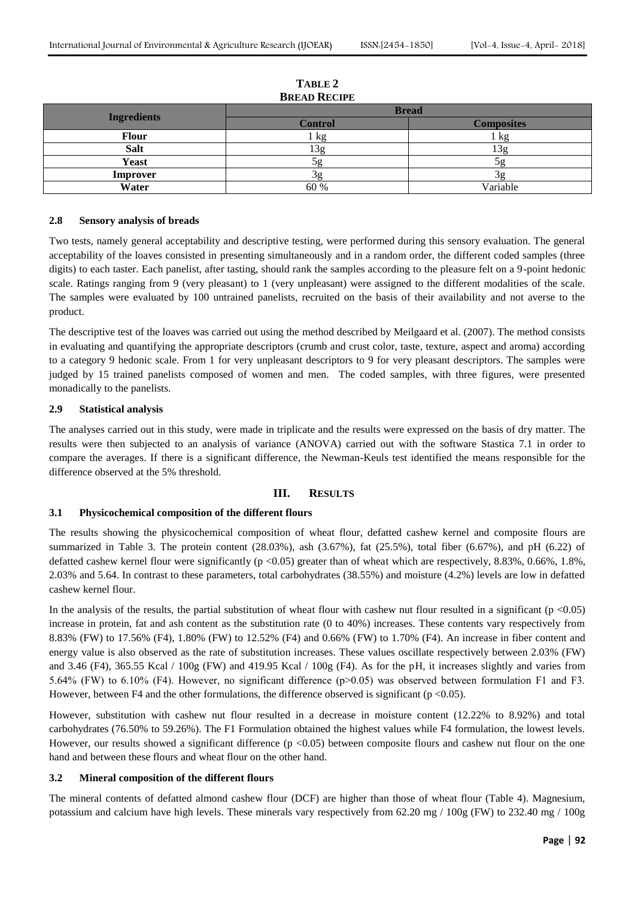| 2.000112           |                |                   |  |  |  |  |
|--------------------|----------------|-------------------|--|--|--|--|
|                    | <b>Bread</b>   |                   |  |  |  |  |
| <b>Ingredients</b> | <b>Control</b> | <b>Composites</b> |  |  |  |  |
| <b>Flour</b>       | kg             | kg                |  |  |  |  |
| <b>Salt</b>        | 3g             | 13g               |  |  |  |  |
| <b>Yeast</b>       |                |                   |  |  |  |  |
| <b>Improver</b>    |                |                   |  |  |  |  |
| Water              | 60 %           | Variable          |  |  |  |  |

# **TABLE 2 BREAD RECIPE**

## **2.8 Sensory analysis of breads**

Two tests, namely general acceptability and descriptive testing, were performed during this sensory evaluation. The general acceptability of the loaves consisted in presenting simultaneously and in a random order, the different coded samples (three digits) to each taster. Each panelist, after tasting, should rank the samples according to the pleasure felt on a 9-point hedonic scale. Ratings ranging from 9 (very pleasant) to 1 (very unpleasant) were assigned to the different modalities of the scale. The samples were evaluated by 100 untrained panelists, recruited on the basis of their availability and not averse to the product.

The descriptive test of the loaves was carried out using the method described by Meilgaard et al. (2007). The method consists in evaluating and quantifying the appropriate descriptors (crumb and crust color, taste, texture, aspect and aroma) according to a category 9 hedonic scale. From 1 for very unpleasant descriptors to 9 for very pleasant descriptors. The samples were judged by 15 trained panelists composed of women and men. The coded samples, with three figures, were presented monadically to the panelists.

#### **2.9 Statistical analysis**

The analyses carried out in this study, were made in triplicate and the results were expressed on the basis of dry matter. The results were then subjected to an analysis of variance (ANOVA) carried out with the software Stastica 7.1 in order to compare the averages. If there is a significant difference, the Newman-Keuls test identified the means responsible for the difference observed at the 5% threshold.

# **III. RESULTS**

#### **3.1 Physicochemical composition of the different flours**

The results showing the physicochemical composition of wheat flour, defatted cashew kernel and composite flours are summarized in Table 3. The protein content (28.03%), ash (3.67%), fat (25.5%), total fiber (6.67%), and pH (6.22) of defatted cashew kernel flour were significantly (p <0.05) greater than of wheat which are respectively, 8.83%, 0.66%, 1.8%, 2.03% and 5.64. In contrast to these parameters, total carbohydrates (38.55%) and moisture (4.2%) levels are low in defatted cashew kernel flour.

In the analysis of the results, the partial substitution of wheat flour with cashew nut flour resulted in a significant ( $p < 0.05$ ) increase in protein, fat and ash content as the substitution rate (0 to 40%) increases. These contents vary respectively from 8.83% (FW) to 17.56% (F4), 1.80% (FW) to 12.52% (F4) and 0.66% (FW) to 1.70% (F4). An increase in fiber content and energy value is also observed as the rate of substitution increases. These values oscillate respectively between 2.03% (FW) and 3.46 (F4), 365.55 Kcal  $/ 100g$  (FW) and 419.95 Kcal  $/ 100g$  (F4). As for the pH, it increases slightly and varies from 5.64% (FW) to 6.10% (F4). However, no significant difference (p>0.05) was observed between formulation F1 and F3. However, between F4 and the other formulations, the difference observed is significant ( $p$  <0.05).

However, substitution with cashew nut flour resulted in a decrease in moisture content (12.22% to 8.92%) and total carbohydrates (76.50% to 59.26%). The F1 Formulation obtained the highest values while F4 formulation, the lowest levels. However, our results showed a significant difference  $(p < 0.05)$  between composite flours and cashew nut flour on the one hand and between these flours and wheat flour on the other hand.

# **3.2 Mineral composition of the different flours**

The mineral contents of defatted almond cashew flour (DCF) are higher than those of wheat flour (Table 4). Magnesium, potassium and calcium have high levels. These minerals vary respectively from  $62.20 \text{ mg} / 100 \text{g}$  (FW) to  $232.40 \text{ mg} / 100 \text{g}$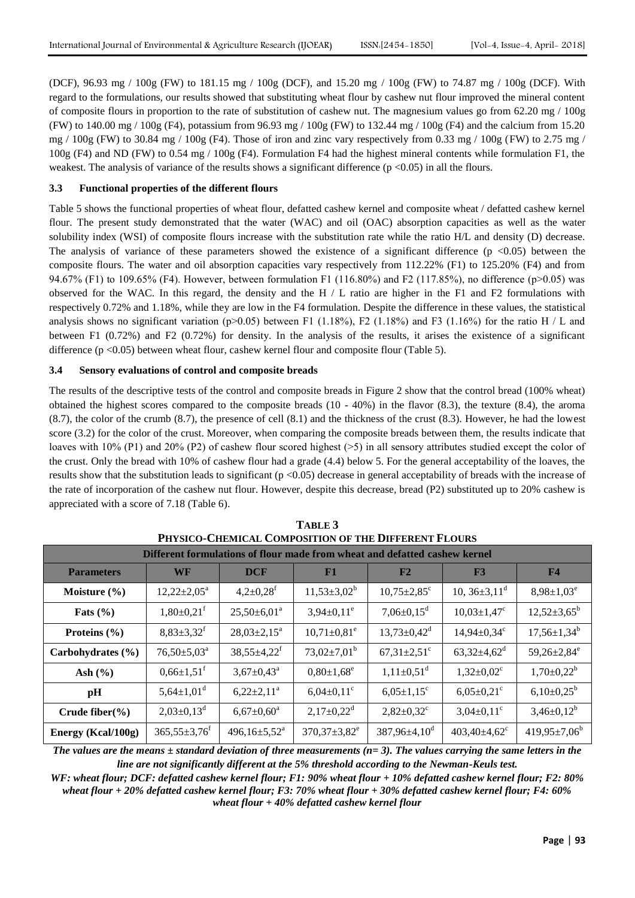(DCF), 96.93 mg / 100g (FW) to 181.15 mg / 100g (DCF), and 15.20 mg / 100g (FW) to 74.87 mg / 100g (DCF). With regard to the formulations, our results showed that substituting wheat flour by cashew nut flour improved the mineral content of composite flours in proportion to the rate of substitution of cashew nut. The magnesium values go from 62.20 mg / 100g (FW) to 140.00 mg / 100g (F4), potassium from 96.93 mg / 100g (FW) to 132.44 mg / 100g (F4) and the calcium from 15.20 mg / 100g (FW) to 30.84 mg / 100g (F4). Those of iron and zinc vary respectively from 0.33 mg / 100g (FW) to 2.75 mg / 100g (F4) and ND (FW) to 0.54 mg / 100g (F4). Formulation F4 had the highest mineral contents while formulation F1, the weakest. The analysis of variance of the results shows a significant difference (p <0.05) in all the flours.

# **3.3 Functional properties of the different flours**

Table 5 shows the functional properties of wheat flour, defatted cashew kernel and composite wheat / defatted cashew kernel flour. The present study demonstrated that the water (WAC) and oil (OAC) absorption capacities as well as the water solubility index (WSI) of composite flours increase with the substitution rate while the ratio H/L and density (D) decrease. The analysis of variance of these parameters showed the existence of a significant difference  $(p \lt 0.05)$  between the composite flours. The water and oil absorption capacities vary respectively from 112.22% (F1) to 125.20% (F4) and from 94.67% (F1) to 109.65% (F4). However, between formulation F1 (116.80%) and F2 (117.85%), no difference (p>0.05) was observed for the WAC. In this regard, the density and the H  $/$  L ratio are higher in the F1 and F2 formulations with respectively 0.72% and 1.18%, while they are low in the F4 formulation. Despite the difference in these values, the statistical analysis shows no significant variation (p $>0.05$ ) between F1 (1.18%), F2 (1.18%) and F3 (1.16%) for the ratio H / L and between F1 (0.72%) and F2 (0.72%) for density. In the analysis of the results, it arises the existence of a significant difference  $(p < 0.05)$  between wheat flour, cashew kernel flour and composite flour (Table 5).

## **3.4 Sensory evaluations of control and composite breads**

The results of the descriptive tests of the control and composite breads in Figure 2 show that the control bread (100% wheat) obtained the highest scores compared to the composite breads  $(10 - 40%)$  in the flavor  $(8.3)$ , the texture  $(8.4)$ , the aroma (8.7), the color of the crumb (8.7), the presence of cell (8.1) and the thickness of the crust (8.3). However, he had the lowest score (3.2) for the color of the crust. Moreover, when comparing the composite breads between them, the results indicate that loaves with 10% (P1) and 20% (P2) of cashew flour scored highest ( $>5$ ) in all sensory attributes studied except the color of the crust. Only the bread with 10% of cashew flour had a grade (4.4) below 5. For the general acceptability of the loaves, the results show that the substitution leads to significant  $(p < 0.05)$  decrease in general acceptability of breads with the increase of the rate of incorporation of the cashew nut flour. However, despite this decrease, bread (P2) substituted up to 20% cashew is appreciated with a score of 7.18 (Table 6).

| PHYSICO-CHEMICAL COMPOSITION OF THE DIFFERENT FLOURS                       |                              |                               |                        |                               |                               |                               |  |  |
|----------------------------------------------------------------------------|------------------------------|-------------------------------|------------------------|-------------------------------|-------------------------------|-------------------------------|--|--|
| Different formulations of flour made from wheat and defatted cashew kernel |                              |                               |                        |                               |                               |                               |  |  |
| <b>Parameters</b>                                                          | <b>WF</b>                    | <b>DCF</b>                    | F1                     | F2                            | F3                            | F <sub>4</sub>                |  |  |
| Moisture $(\% )$                                                           | $12,22 \pm 2,05^{\text{a}}$  | $4,2\pm0,28$ <sup>f</sup>     | $11,53\pm3,02^b$       | $10,75 \pm 2,85$ <sup>c</sup> | 10, $36\pm3,11^d$             | $8,98 \pm 1,03^e$             |  |  |
| Fats $(\% )$                                                               | $1,80\pm0,21$ <sup>f</sup>   | $25,50\pm6,01^{\circ}$        | $3,94\pm0,11^e$        | $7,06 \pm 0,15$ <sup>d</sup>  | $10,03 \pm 1,47$ <sup>c</sup> | $12,52\pm3,65^{\rm b}$        |  |  |
| Proteins $(\% )$                                                           | $8,83\pm3,32^f$              | $28,03\pm2,15^a$              | $10,71\pm0,81^e$       | $13,73\pm0,42^d$              | $14,94 \pm 0,34$ <sup>c</sup> | $17,56 \pm 1,34^b$            |  |  |
| Carbohydrates (%)                                                          | $76,50 \pm 5,03^{\circ}$     | $38,55 \pm 4,22$ <sup>f</sup> | $73,02\pm7,01^{\rm b}$ | $67,31\pm2,51$ <sup>c</sup>   | $63,32{\pm}4,62^d$            | $59,26 \pm 2,84$ <sup>e</sup> |  |  |
| Ash $(\% )$                                                                | $0,66 \pm 1,51$ <sup>f</sup> | $3,67 \pm 0,43^{\circ}$       | $0,80{\pm}1,68^e$      | $1,11\pm0,51^d$               | $1,32\pm0,02^{\circ}$         | $1,70 \pm 0,22^b$             |  |  |
| pH                                                                         | $5,64\pm1,01^d$              | $6,22\pm2,11^a$               | $6,04\pm0,11^{\circ}$  | $6,05\pm1,15^{\circ}$         | $6,05\pm0,21^{\circ}$         | $6,10\pm0,25^{\rm b}$         |  |  |
| Crude fiber $(\% )$                                                        | $2,03\pm0,13^d$              | $6,67{\pm}0,60^{\mathrm{a}}$  | $2,17\pm0,22^d$        | $2,82\pm0,32^c$               | $3,04\pm0,11^{\circ}$         | $3,46\pm0,12^b$               |  |  |
| Energy (Kcal/100g)                                                         | $365,55\pm3,76$ <sup>f</sup> | $496,16 \pm 5,52^{\text{a}}$  | $370,37 \pm 3,82^e$    | $387,96 \pm 4,10^d$           | $403,40\pm4,62^{\circ}$       | $419,95\pm7,06^b$             |  |  |

**TABLE 3 PHYSICO-CHEMICAL COMPOSITION OF THE DIFFERENT FLOURS**

*The values are the means ± standard deviation of three measurements (n= 3). The values carrying the same letters in the line are not significantly different at the 5% threshold according to the Newman-Keuls test.*

*WF: wheat flour; DCF: defatted cashew kernel flour; F1: 90% wheat flour + 10% defatted cashew kernel flour; F2: 80% wheat flour + 20% defatted cashew kernel flour; F3: 70% wheat flour + 30% defatted cashew kernel flour; F4: 60% wheat flour + 40% defatted cashew kernel flour*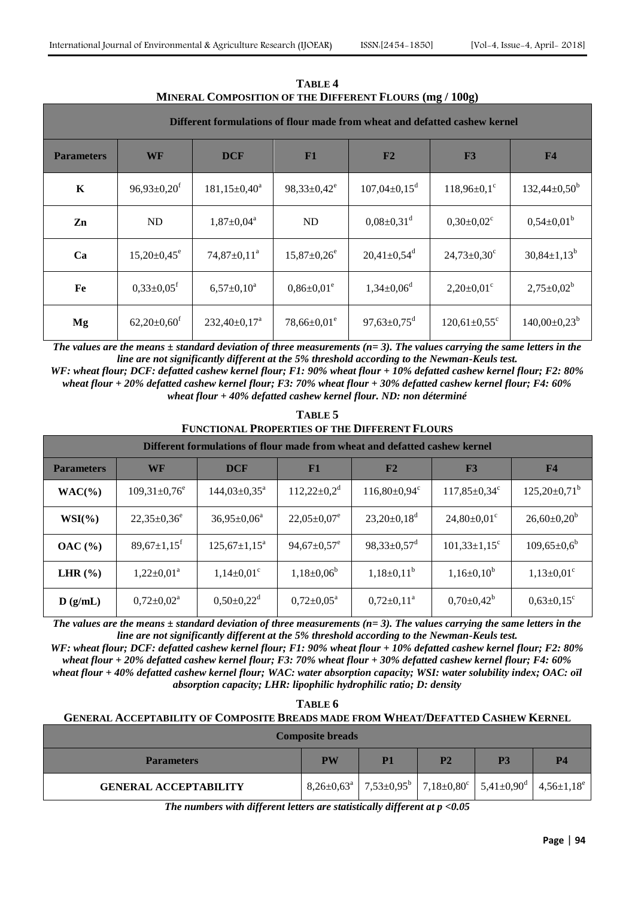| <u>MINERAL COMPOSITION OF THE DIFFERENT FLOURS (IIIX / TWVX)</u>           |                               |                    |                               |                                |                               |                       |  |
|----------------------------------------------------------------------------|-------------------------------|--------------------|-------------------------------|--------------------------------|-------------------------------|-----------------------|--|
| Different formulations of flour made from wheat and defatted cashew kernel |                               |                    |                               |                                |                               |                       |  |
| <b>Parameters</b>                                                          | WF                            | <b>DCF</b>         | F1                            | F2                             | F3                            | F4                    |  |
| $\mathbf K$                                                                | $96,93 \pm 0,20$ <sup>f</sup> | $181,15\pm0,40^a$  | $98,33 \pm 0,42^e$            | $107,04 \pm 0,15$ <sup>d</sup> | $118,96\pm0.1$ <sup>c</sup>   | $132,44\pm0,50^b$     |  |
| Zn                                                                         | ND                            | $1,87 \pm 0,04^a$  | ND                            | $0.08 \pm 0.31$ <sup>d</sup>   | $0,30\pm0,02^{\circ}$         | $0,54\pm0,01^{\rm b}$ |  |
| Ca                                                                         | $15,20\pm0,45^e$              | $74,87 \pm 0,11^a$ | $15,87 \pm 0,26$ <sup>e</sup> | $20,41\pm0,54^d$               | $24,73 \pm 0,30$ <sup>c</sup> | $30,84 \pm 1,13^b$    |  |
| Fe                                                                         | $0,33\pm0,05$ <sup>f</sup>    | $6,57 \pm 0,10^a$  | $0,86 \pm 0.01^e$             | $1,34\pm0,06^d$                | $2,20\pm0,01^{\circ}$         | $2,75 \pm 0.02^b$     |  |
| Mg                                                                         | $62,20\pm0,60$ <sup>f</sup>   | $232,40\pm0,17^a$  | $78,66 \pm 0.01$ <sup>e</sup> | $97,63 \pm 0.75$ <sup>d</sup>  | $120,61\pm0,55^{\circ}$       | $140,00\pm0,23^b$     |  |

**TABLE 4**  $\mathbf{F}$ **I**  $\Delta \mathbf{F}$  **(mg**  $(\mathbf{m}\times\mathbf{I})$  **100g)** 

*The values are the means*  $\pm$  *standard deviation of three measurements (n= 3). The values carrying the same letters in the line are not significantly different at the 5% threshold according to the Newman-Keuls test.*

*WF: wheat flour; DCF: defatted cashew kernel flour; F1: 90% wheat flour + 10% defatted cashew kernel flour; F2: 80% wheat flour + 20% defatted cashew kernel flour; F3: 70% wheat flour + 30% defatted cashew kernel flour; F4: 60% wheat flour + 40% defatted cashew kernel flour. ND: non déterminé*

| TABLE 5                                              |
|------------------------------------------------------|
| <b>FUNCTIONAL PROPERTIES OF THE DIFFERENT FLOURS</b> |

| Different formulations of flour made from wheat and defatted cashew kernel |                               |                           |                               |                             |                                |                       |  |
|----------------------------------------------------------------------------|-------------------------------|---------------------------|-------------------------------|-----------------------------|--------------------------------|-----------------------|--|
| <b>Parameters</b>                                                          | WF                            | <b>DCF</b>                | F1                            | F2                          | F3                             | F4                    |  |
| $WAC(\%)$                                                                  | $109,31\pm0,76^e$             | $144,03 \pm 0,35^{\circ}$ | $112,22\pm0,2^d$              | $116,80\pm0,94^c$           | $117,85 \pm 0,34^c$            | $125,20\pm0,71^b$     |  |
| $WSI(\%)$                                                                  | $22,35\pm0,36^e$              | $36,95 \pm 0,06^{\circ}$  | $22,05 \pm 0,07$ <sup>e</sup> | $23,20\pm0,18^d$            | $24,80\pm0,01^{\circ}$         | $26,60\pm0,20^b$      |  |
| OAC(%)                                                                     | $89,67 \pm 1,15$ <sup>f</sup> | $125,67 \pm 1,15^a$       | $94,67 \pm 0,57$ <sup>e</sup> | $98,33\pm0,57$ <sup>d</sup> | $101,33 \pm 1,15$ <sup>c</sup> | $109,65 \pm 0.6^b$    |  |
| LHR $(\% )$                                                                | $1,22\pm0,01^a$               | $1,14\pm0,01^{\circ}$     | $1,18\pm0,06^{\rm b}$         | $1,18\pm0,11^b$             | $1,16\pm0,10^b$                | $1,13\pm0,01^{\circ}$ |  |
| D(g/mL)                                                                    | $0,72\pm0,02^{\rm a}$         | $0,50\pm0,22^d$           | $0,72\pm0,05^{\rm a}$         | $0,72\pm0,11^{\rm a}$       | $0,70\pm0,42^b$                | $0,63\pm0,15^{\circ}$ |  |

*The values are the means ± standard deviation of three measurements (n= 3). The values carrying the same letters in the line are not significantly different at the 5% threshold according to the Newman-Keuls test.*

*WF: wheat flour; DCF: defatted cashew kernel flour; F1: 90% wheat flour + 10% defatted cashew kernel flour; F2: 80% wheat flour + 20% defatted cashew kernel flour; F3: 70% wheat flour + 30% defatted cashew kernel flour; F4: 60% wheat flour + 40% defatted cashew kernel flour; WAC: water absorption capacity; WSI: water solubility index; OAC: oïl absorption capacity; LHR: lipophilic hydrophilic ratio; D: density*

| TABLE 6                                                                                 |    |                |                |                                                                                                                                          |           |  |  |
|-----------------------------------------------------------------------------------------|----|----------------|----------------|------------------------------------------------------------------------------------------------------------------------------------------|-----------|--|--|
| <b>GENERAL ACCEPTABILITY OF COMPOSITE BREADS MADE FROM WHEAT/DEFATTED CASHEW KERNEL</b> |    |                |                |                                                                                                                                          |           |  |  |
| <b>Composite breads</b>                                                                 |    |                |                |                                                                                                                                          |           |  |  |
| <b>Parameters</b>                                                                       | PW | P <sub>1</sub> | P <sub>2</sub> | <b>P3</b>                                                                                                                                | <b>P4</b> |  |  |
| <b>GENERAL ACCEPTABILITY</b>                                                            |    |                |                | $8,26\pm0.63^{\text{a}}$   7,53 $\pm0.95^{\text{b}}$   7,18 $\pm0.80^{\text{c}}$   5,41 $\pm0.90^{\text{d}}$   4,56 $\pm1.18^{\text{e}}$ |           |  |  |

*The numbers with different letters are statistically different at p <0.05*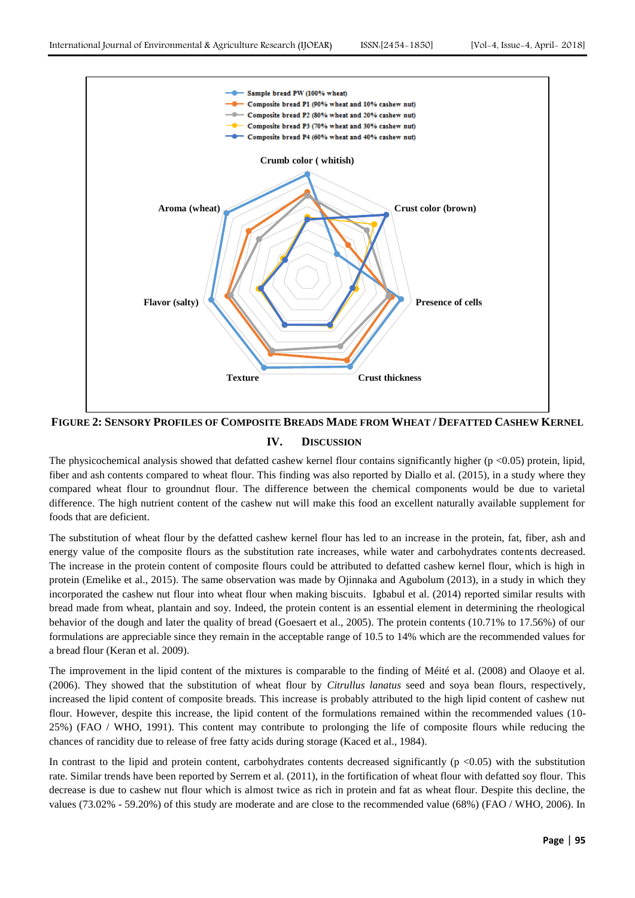

FIGURE 2: SENSORY PROFILES OF COMPOSITE BREADS MADE FROM WHEAT / DEFATTED CASHEW KERNEL **IV. DISCUSSION**

The physicochemical analysis showed that defatted cashew kernel flour contains significantly higher (p <0.05) protein, lipid, fiber and ash contents compared to wheat flour. This finding was also reported by Diallo et al. (2015), in a study where they compared wheat flour to groundnut flour. The difference between the chemical components would be due to varietal difference. The high nutrient content of the cashew nut will make this food an excellent naturally available supplement for foods that are deficient.

The substitution of wheat flour by the defatted cashew kernel flour has led to an increase in the protein, fat, fiber, ash and energy value of the composite flours as the substitution rate increases, while water and carbohydrates contents decreased. The increase in the protein content of composite flours could be attributed to defatted cashew kernel flour, which is high in protein (Emelike et al., 2015). The same observation was made by Ojinnaka and Agubolum (2013), in a study in which they incorporated the cashew nut flour into wheat flour when making biscuits. Igbabul et al. (2014) reported similar results with bread made from wheat, plantain and soy. Indeed, the protein content is an essential element in determining the rheological behavior of the dough and later the quality of bread (Goesaert et al., 2005). The protein contents (10.71% to 17.56%) of our formulations are appreciable since they remain in the acceptable range of 10.5 to 14% which are the recommended values for a bread flour (Keran et al. 2009).

The improvement in the lipid content of the mixtures is comparable to the finding of Méité et al. (2008) and Olaoye et al. (2006). They showed that the substitution of wheat flour by *Citrullus lanatus* seed and soya bean flours, respectively, increased the lipid content of composite breads. This increase is probably attributed to the high lipid content of cashew nut flour. However, despite this increase, the lipid content of the formulations remained within the recommended values (10- 25%) (FAO / WHO, 1991). This content may contribute to prolonging the life of composite flours while reducing the chances of rancidity due to release of free fatty acids during storage (Kaced et al., 1984).

In contrast to the lipid and protein content, carbohydrates contents decreased significantly  $(p \lt 0.05)$  with the substitution rate. Similar trends have been reported by Serrem et al. (2011), in the fortification of wheat flour with defatted soy flour. This decrease is due to cashew nut flour which is almost twice as rich in protein and fat as wheat flour. Despite this decline, the values (73.02% - 59.20%) of this study are moderate and are close to the recommended value (68%) (FAO / WHO, 2006). In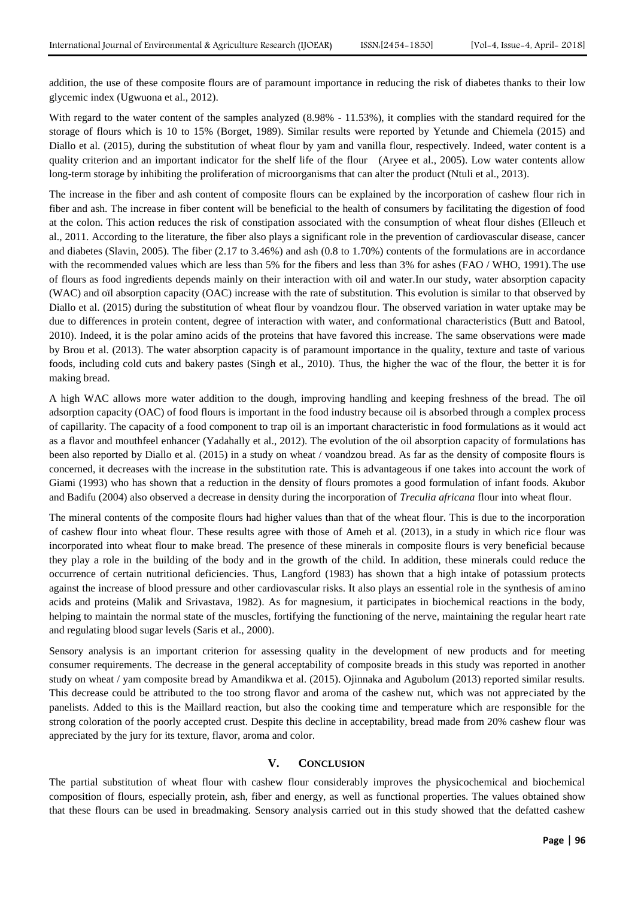addition, the use of these composite flours are of paramount importance in reducing the risk of diabetes thanks to their low glycemic index (Ugwuona et al., 2012).

With regard to the water content of the samples analyzed  $(8.98\% - 11.53\%)$ , it complies with the standard required for the storage of flours which is 10 to 15% (Borget, 1989). Similar results were reported by Yetunde and Chiemela (2015) and Diallo et al. (2015), during the substitution of wheat flour by yam and vanilla flour, respectively. Indeed, water content is a quality criterion and an important indicator for the shelf life of the flour (Aryee et al., 2005). Low water contents allow long-term storage by inhibiting the proliferation of microorganisms that can alter the product (Ntuli et al., 2013).

The increase in the fiber and ash content of composite flours can be explained by the incorporation of cashew flour rich in fiber and ash. The increase in fiber content will be beneficial to the health of consumers by facilitating the digestion of food at the colon. This action reduces the risk of constipation associated with the consumption of wheat flour dishes (Elleuch et al., 2011. According to the literature, the fiber also plays a significant role in the prevention of cardiovascular disease, cancer and diabetes (Slavin, 2005). The fiber (2.17 to 3.46%) and ash (0.8 to 1.70%) contents of the formulations are in accordance with the recommended values which are less than 5% for the fibers and less than 3% for ashes (FAO / WHO, 1991). The use of flours as food ingredients depends mainly on their interaction with oil and water.In our study, water absorption capacity (WAC) and oïl absorption capacity (OAC) increase with the rate of substitution. This evolution is similar to that observed by Diallo et al. (2015) during the substitution of wheat flour by voandzou flour. The observed variation in water uptake may be due to differences in protein content, degree of interaction with water, and conformational characteristics (Butt and Batool, 2010). Indeed, it is the polar amino acids of the proteins that have favored this increase. The same observations were made by Brou et al. (2013). The water absorption capacity is of paramount importance in the quality, texture and taste of various foods, including cold cuts and bakery pastes (Singh et al., 2010). Thus, the higher the wac of the flour, the better it is for making bread.

A high WAC allows more water addition to the dough, improving handling and keeping freshness of the bread. The oïl adsorption capacity (OAC) of food flours is important in the food industry because oil is absorbed through a complex process of capillarity. The capacity of a food component to trap oil is an important characteristic in food formulations as it would act as a flavor and mouthfeel enhancer (Yadahally et al., 2012). The evolution of the oil absorption capacity of formulations has been also reported by Diallo et al. (2015) in a study on wheat / voandzou bread. As far as the density of composite flours is concerned, it decreases with the increase in the substitution rate. This is advantageous if one takes into account the work of Giami (1993) who has shown that a reduction in the density of flours promotes a good formulation of infant foods. Akubor and Badifu (2004) also observed a decrease in density during the incorporation of *Treculia africana* flour into wheat flour.

The mineral contents of the composite flours had higher values than that of the wheat flour. This is due to the incorporation of cashew flour into wheat flour. These results agree with those of Ameh et al. (2013), in a study in which rice flour was incorporated into wheat flour to make bread. The presence of these minerals in composite flours is very beneficial because they play a role in the building of the body and in the growth of the child. In addition, these minerals could reduce the occurrence of certain nutritional deficiencies. Thus, Langford (1983) has shown that a high intake of potassium protects against the increase of blood pressure and other cardiovascular risks. It also plays an essential role in the synthesis of amino acids and proteins (Malik and Srivastava, 1982). As for magnesium, it participates in biochemical reactions in the body, helping to maintain the normal state of the muscles, fortifying the functioning of the nerve, maintaining the regular heart rate and regulating blood sugar levels (Saris et al., 2000).

Sensory analysis is an important criterion for assessing quality in the development of new products and for meeting consumer requirements. The decrease in the general acceptability of composite breads in this study was reported in another study on wheat / yam composite bread by Amandikwa et al. (2015). Ojinnaka and Agubolum (2013) reported similar results. This decrease could be attributed to the too strong flavor and aroma of the cashew nut, which was not appreciated by the panelists. Added to this is the Maillard reaction, but also the cooking time and temperature which are responsible for the strong coloration of the poorly accepted crust. Despite this decline in acceptability, bread made from 20% cashew flour was appreciated by the jury for its texture, flavor, aroma and color.

### **V. CONCLUSION**

The partial substitution of wheat flour with cashew flour considerably improves the physicochemical and biochemical composition of flours, especially protein, ash, fiber and energy, as well as functional properties. The values obtained show that these flours can be used in breadmaking. Sensory analysis carried out in this study showed that the defatted cashew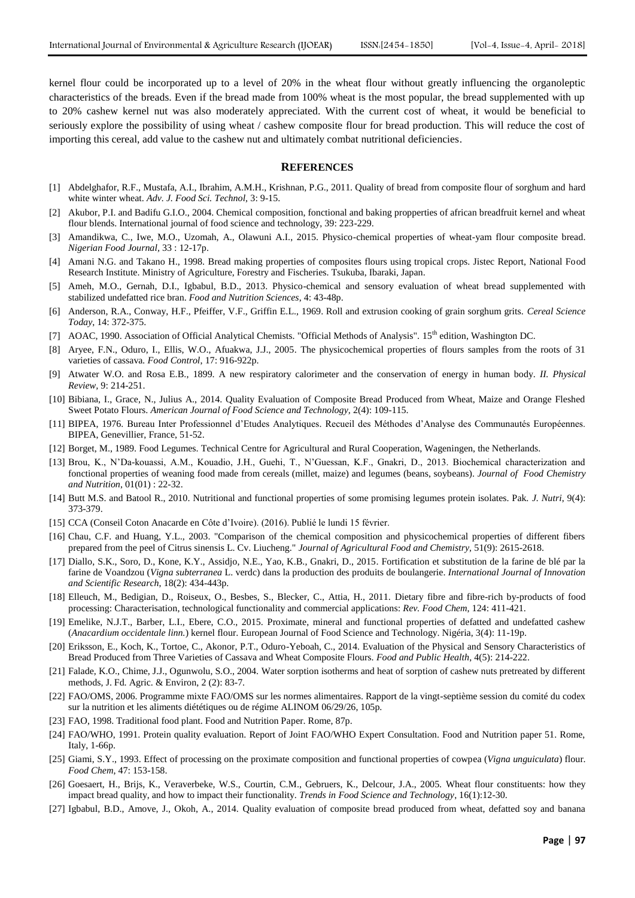kernel flour could be incorporated up to a level of 20% in the wheat flour without greatly influencing the organoleptic characteristics of the breads. Even if the bread made from 100% wheat is the most popular, the bread supplemented with up to 20% cashew kernel nut was also moderately appreciated. With the current cost of wheat, it would be beneficial to seriously explore the possibility of using wheat / cashew composite flour for bread production. This will reduce the cost of importing this cereal, add value to the cashew nut and ultimately combat nutritional deficiencies.

#### **REFERENCES**

- [1] Abdelghafor, R.F., Mustafa, A.I., Ibrahim, A.M.H., Krishnan, P.G., 2011. Quality of bread from composite flour of sorghum and hard white winter wheat. *Adv. J. Food Sci. Technol,* 3: 9-15.
- [2] Akubor, P.I. and Badifu G.I.O., 2004. Chemical composition, fonctional and baking propperties of african breadfruit kernel and wheat flour blends. International journal of food science and technology, 39: 223-229.
- [3] Amandikwa, C., Iwe, M.O., Uzomah, A., Olawuni A.I., 2015. Physico-chemical properties of wheat-yam flour composite bread. *Nigerian Food Journal,* 33 : 12-17p.
- [4] Amani N.G. and Takano H., 1998. Bread making properties of composites flours using tropical crops. Jistec Report, National Food Research Institute. Ministry of Agriculture, Forestry and Fischeries. Tsukuba, Ibaraki, Japan.
- [5] Ameh, M.O., Gernah, D.I., Igbabul, B.D., 2013. Physico-chemical and sensory evaluation of wheat bread supplemented with stabilized undefatted rice bran. *Food and Nutrition Sciences*, 4: 43-48p.
- [6] Anderson, R.A., Conway, H.F., Pfeiffer, V.F., Griffin E.L., 1969. Roll and extrusion cooking of grain sorghum grits. *Cereal Science Today*, 14: 372-375.
- [7] AOAC, 1990. Association of Official Analytical Chemists. "Official Methods of Analysis". 15th edition, Washington DC.
- [8] Aryee, F.N., Oduro, I., Ellis, W.O., Afuakwa, J.J., 2005. The physicochemical properties of flours samples from the roots of 31 varieties of cassava*. Food Control*, 17: 916-922p.
- [9] Atwater W.O. and Rosa E.B., 1899. A new respiratory calorimeter and the conservation of energy in human body. *II. Physical Review,* 9: 214-251.
- [10] Bibiana, I., Grace, N., Julius A., 2014. Quality Evaluation of Composite Bread Produced from Wheat, Maize and Orange Fleshed Sweet Potato Flours. *American Journal of Food Science and Technology,* 2(4): 109-115.
- [11] BIPEA, 1976. Bureau Inter Professionnel d'Etudes Analytiques. Recueil des Méthodes d'Analyse des Communautés Européennes. BIPEA, Genevillier, France, 51-52.
- [12] Borget, M., 1989. Food Legumes. Technical Centre for Agricultural and Rural Cooperation, Wageningen, the Netherlands.
- [13] Brou, K., N'Da-kouassi, A.M., Kouadio, J.H., Guehi, T., N'Guessan, K.F., Gnakri, D., 2013. Biochemical characterization and fonctional properties of weaning food made from cereals (millet, maize) and legumes (beans, soybeans). *Journal of Food Chemistry and Nutrition*, 01(01) : 22-32.
- [14] Butt M.S. and Batool R., 2010. Nutritional and functional properties of some promising legumes protein isolates. Pak. *J. Nutri*, 9(4): 373-379.
- [15] CCA (Conseil Coton Anacarde en Côte d'Ivoire). (2016). Publié le lundi 15 février.
- [16] Chau, C.F. and Huang, Y.L., 2003. "Comparison of the chemical composition and physicochemical properties of different fibers prepared from the peel of Citrus sinensis L. Cv. Liucheng." *Journal of Agricultural Food and Chemistry,* 51(9): 2615-2618.
- [17] Diallo, S.K., Soro, D., Kone, K.Y., Assidjo, N.E., Yao, K.B., Gnakri, D., 2015. Fortification et substitution de la farine de blé par la farine de Voandzou (*Vigna subterranea* L. verdc) dans la production des produits de boulangerie. *International Journal of Innovation and Scientific Research*, 18(2): 434-443p.
- [18] Elleuch, M., Bedigian, D., Roiseux, O., Besbes, S., Blecker, C., Attia, H., 2011. Dietary fibre and fibre-rich by-products of food processing: Characterisation, technological functionality and commercial applications: *Rev. Food Chem*, 124: 411-421.
- [19] Emelike, N.J.T., Barber, L.I., Ebere, C.O., 2015. Proximate, mineral and functional properties of defatted and undefatted cashew (*Anacardium occidentale linn.*) kernel flour. European Journal of Food Science and Technology. Nigéria, 3(4): 11-19p.
- [20] Eriksson, E., Koch, K., Tortoe, C., Akonor, P.T., Oduro-Yeboah, C., 2014. Evaluation of the Physical and Sensory Characteristics of Bread Produced from Three Varieties of Cassava and Wheat Composite Flours. *Food and Public Health*, 4(5): 214-222.
- [21] Falade, K.O., Chime, J.J., Ogunwolu, S.O., 2004. Water sorption isotherms and heat of sorption of cashew nuts pretreated by different methods, J. Fd. Agric. & Environ, 2 (2): 83-7.
- [22] FAO/OMS, 2006. Programme mixte FAO/OMS sur les normes alimentaires. Rapport de la vingt-septième session du comité du codex sur la nutrition et les aliments diététiques ou de régime ALINOM 06/29/26, 105p.
- [23] FAO, 1998. Traditional food plant. Food and Nutrition Paper. Rome, 87p.
- [24] FAO/WHO, 1991. Protein quality evaluation. Report of Joint FAO/WHO Expert Consultation. Food and Nutrition paper 51. Rome, Italy, 1-66p.
- [25] Giami, S.Y., 1993. Effect of processing on the proximate composition and functional properties of cowpea (*Vigna unguiculata*) flour. *Food Chem*, 47: 153-158.
- [26] Goesaert, H., Brijs, K., Veraverbeke, W.S., Courtin, C.M., Gebruers, K., Delcour, J.A., 2005. Wheat flour constituents: how they impact bread quality, and how to impact their functionality. *Trends in Food Science and Technology*, 16(1):12-30.
- [27] Igbabul, B.D., Amove, J., Okoh, A., 2014. Quality evaluation of composite bread produced from wheat, defatted soy and banana